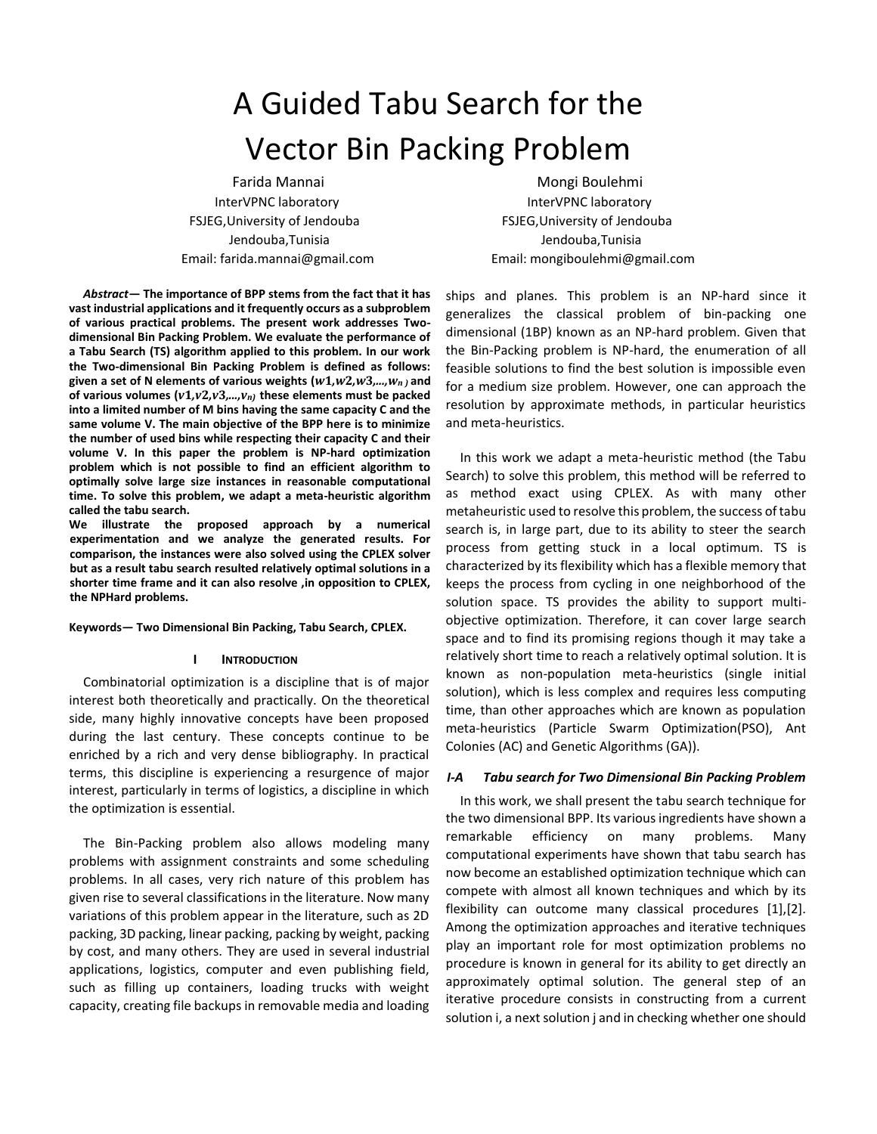# A Guided Tabu Search for the Vector Bin Packing Problem

Farida Mannai InterVPNC laboratory FSJEG,University of Jendouba Jendouba,Tunisia Email: farida.mannai@gmail.com

*Abstract***— The importance of BPP stems from the fact that it has vast industrial applications and it frequently occurs as a subproblem of various practical problems. The present work addresses Twodimensional Bin Packing Problem. We evaluate the performance of a Tabu Search (TS) algorithm applied to this problem. In our work the Two-dimensional Bin Packing Problem is defined as follows: given a set of N elements of various weights (***w***1***,w***2***,w***3***,...,wn )* **and**  of various volumes  $(v1,v2,v3,...,v_n)$  these elements must be packed **into a limited number of M bins having the same capacity C and the same volume V. The main objective of the BPP here is to minimize the number of used bins while respecting their capacity C and their volume V. In this paper the problem is NP-hard optimization problem which is not possible to find an efficient algorithm to optimally solve large size instances in reasonable computational time. To solve this problem, we adapt a meta-heuristic algorithm called the tabu search.**

**We illustrate the proposed approach by a numerical experimentation and we analyze the generated results. For comparison, the instances were also solved using the CPLEX solver but as a result tabu search resulted relatively optimal solutions in a shorter time frame and it can also resolve ,in opposition to CPLEX, the NPHard problems.**

#### **Keywords— Two Dimensional Bin Packing, Tabu Search, CPLEX.**

#### **I INTRODUCTION**

Combinatorial optimization is a discipline that is of major interest both theoretically and practically. On the theoretical side, many highly innovative concepts have been proposed during the last century. These concepts continue to be enriched by a rich and very dense bibliography. In practical terms, this discipline is experiencing a resurgence of major interest, particularly in terms of logistics, a discipline in which the optimization is essential.

The Bin-Packing problem also allows modeling many problems with assignment constraints and some scheduling problems. In all cases, very rich nature of this problem has given rise to several classifications in the literature. Now many variations of this problem appear in the literature, such as 2D packing, 3D packing, linear packing, packing by weight, packing by cost, and many others. They are used in several industrial applications, logistics, computer and even publishing field, such as filling up containers, loading trucks with weight capacity, creating file backups in removable media and loading

Mongi Boulehmi InterVPNC laboratory FSJEG,University of Jendouba Jendouba,Tunisia Email: mongiboulehmi@gmail.com

ships and planes. This problem is an NP-hard since it generalizes the classical problem of bin-packing one dimensional (1BP) known as an NP-hard problem. Given that the Bin-Packing problem is NP-hard, the enumeration of all feasible solutions to find the best solution is impossible even for a medium size problem. However, one can approach the resolution by approximate methods, in particular heuristics and meta-heuristics.

In this work we adapt a meta-heuristic method (the Tabu Search) to solve this problem, this method will be referred to as method exact using CPLEX. As with many other metaheuristic used to resolve this problem, the success of tabu search is, in large part, due to its ability to steer the search process from getting stuck in a local optimum. TS is characterized by its flexibility which has a flexible memory that keeps the process from cycling in one neighborhood of the solution space. TS provides the ability to support multiobjective optimization. Therefore, it can cover large search space and to find its promising regions though it may take a relatively short time to reach a relatively optimal solution. It is known as non-population meta-heuristics (single initial solution), which is less complex and requires less computing time, than other approaches which are known as population meta-heuristics (Particle Swarm Optimization(PSO), Ant Colonies (AC) and Genetic Algorithms (GA)).

## *I-A Tabu search for Two Dimensional Bin Packing Problem*

In this work, we shall present the tabu search technique for the two dimensional BPP. Its various ingredients have shown a remarkable efficiency on many problems. Many computational experiments have shown that tabu search has now become an established optimization technique which can compete with almost all known techniques and which by its flexibility can outcome many classical procedures [1],[2]. Among the optimization approaches and iterative techniques play an important role for most optimization problems no procedure is known in general for its ability to get directly an approximately optimal solution. The general step of an iterative procedure consists in constructing from a current solution i, a next solution j and in checking whether one should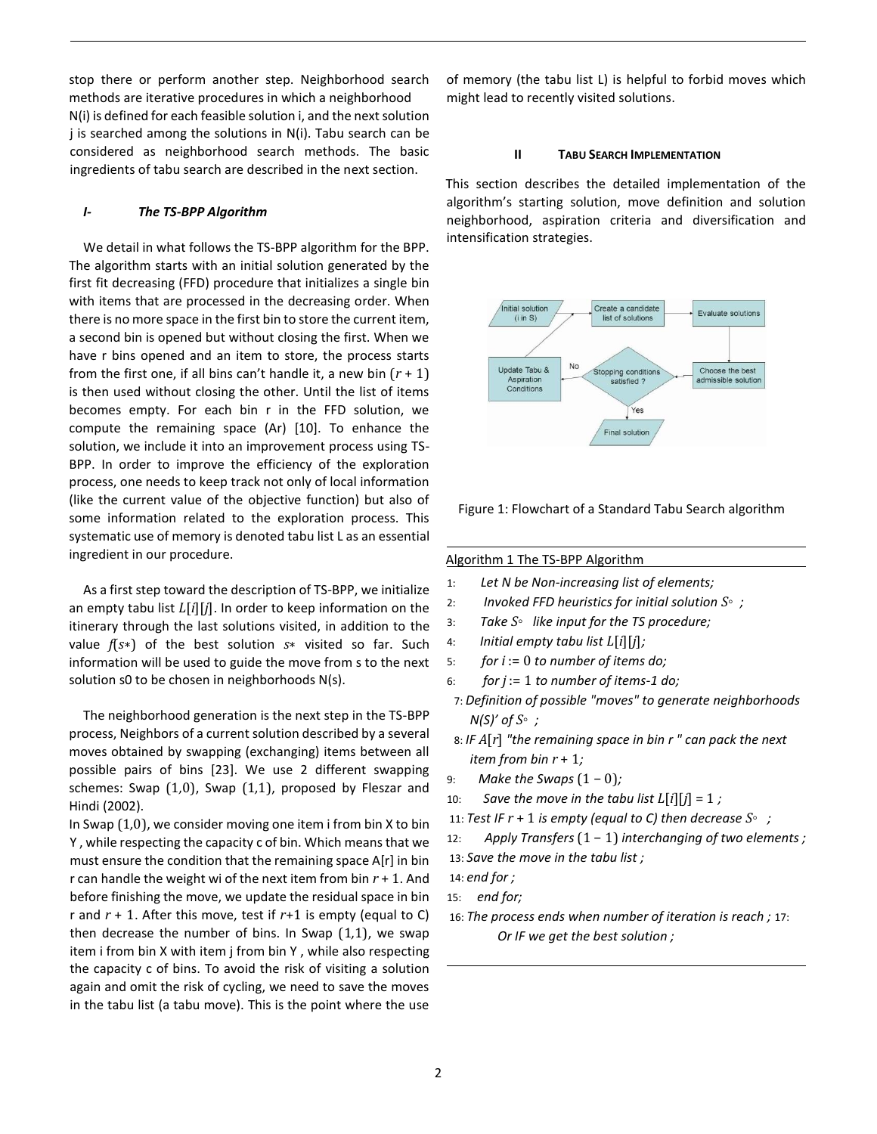stop there or perform another step. Neighborhood search methods are iterative procedures in which a neighborhood N(i) is defined for each feasible solution i, and the next solution j is searched among the solutions in N(i). Tabu search can be considered as neighborhood search methods. The basic ingredients of tabu search are described in the next section.

## *I- The TS-BPP Algorithm*

We detail in what follows the TS-BPP algorithm for the BPP. The algorithm starts with an initial solution generated by the first fit decreasing (FFD) procedure that initializes a single bin with items that are processed in the decreasing order. When there is no more space in the first bin to store the current item, a second bin is opened but without closing the first. When we have r bins opened and an item to store, the process starts from the first one, if all bins can't handle it, a new bin (*r* + 1) is then used without closing the other. Until the list of items becomes empty. For each bin r in the FFD solution, we compute the remaining space (Ar) [10]. To enhance the solution, we include it into an improvement process using TS-BPP. In order to improve the efficiency of the exploration process, one needs to keep track not only of local information (like the current value of the objective function) but also of some information related to the exploration process. This systematic use of memory is denoted tabu list L as an essential ingredient in our procedure.

As a first step toward the description of TS-BPP, we initialize an empty tabu list *L*[*i*][*j*]. In order to keep information on the itinerary through the last solutions visited, in addition to the value *f*(*s*∗) of the best solution *s*∗ visited so far. Such information will be used to guide the move from s to the next solution s0 to be chosen in neighborhoods N(s).

The neighborhood generation is the next step in the TS-BPP process, Neighbors of a current solution described by a several moves obtained by swapping (exchanging) items between all possible pairs of bins [23]. We use 2 different swapping schemes: Swap (1*,*0), Swap (1*,*1), proposed by Fleszar and Hindi (2002).

In Swap (1*,*0), we consider moving one item i from bin X to bin Y , while respecting the capacity c of bin. Which means that we must ensure the condition that the remaining space A[r] in bin r can handle the weight wi of the next item from bin *r* + 1. And before finishing the move, we update the residual space in bin r and *r* + 1. After this move, test if *r*+1 is empty (equal to C) then decrease the number of bins. In Swap (1*,*1), we swap item i from bin X with item j from bin Y , while also respecting the capacity c of bins. To avoid the risk of visiting a solution again and omit the risk of cycling, we need to save the moves in the tabu list (a tabu move). This is the point where the use of memory (the tabu list L) is helpful to forbid moves which might lead to recently visited solutions.

#### **II TABU SEARCH IMPLEMENTATION**

This section describes the detailed implementation of the algorithm's starting solution, move definition and solution neighborhood, aspiration criteria and diversification and intensification strategies.



Figure 1: Flowchart of a Standard Tabu Search algorithm

#### Algorithm 1 The TS-BPP Algorithm

- 1: *Let N be Non-increasing list of elements;*
- 2: *Invoked FFD heuristics for initial solution S ;*
- 3: *Take S like input for the TS procedure;*
- 4: *Initial empty tabu list L*[*i*][*j*]*;*
- 5: *for i* := 0 *to number of items do;*
- 6: *for j* := 1 *to number of items-1 do;*

7: *Definition of possible "moves" to generate neighborhoods N(S)' of S*◦ *;*

- 8: *IF A*[*r*] *"the remaining space in bin r " can pack the next item from bin r* + 1*;*
- 9: *Make the Swaps*  $(1 − 0)$ *;*
- 10: *Save the move in the tabu list*  $L[i][j] = 1$ *;*
- 11: *Test IF r* + 1 *is empty (equal to C) then decrease S ;*
- 12: *Apply Transfers* (1 − 1) *interchanging of two elements ;*
- 13: *Save the move in the tabu list ;*

- 15: *end for;*
- 16: *The process ends when number of iteration is reach ;* 17: *Or IF we get the best solution ;*

<sup>14:</sup> *end for ;*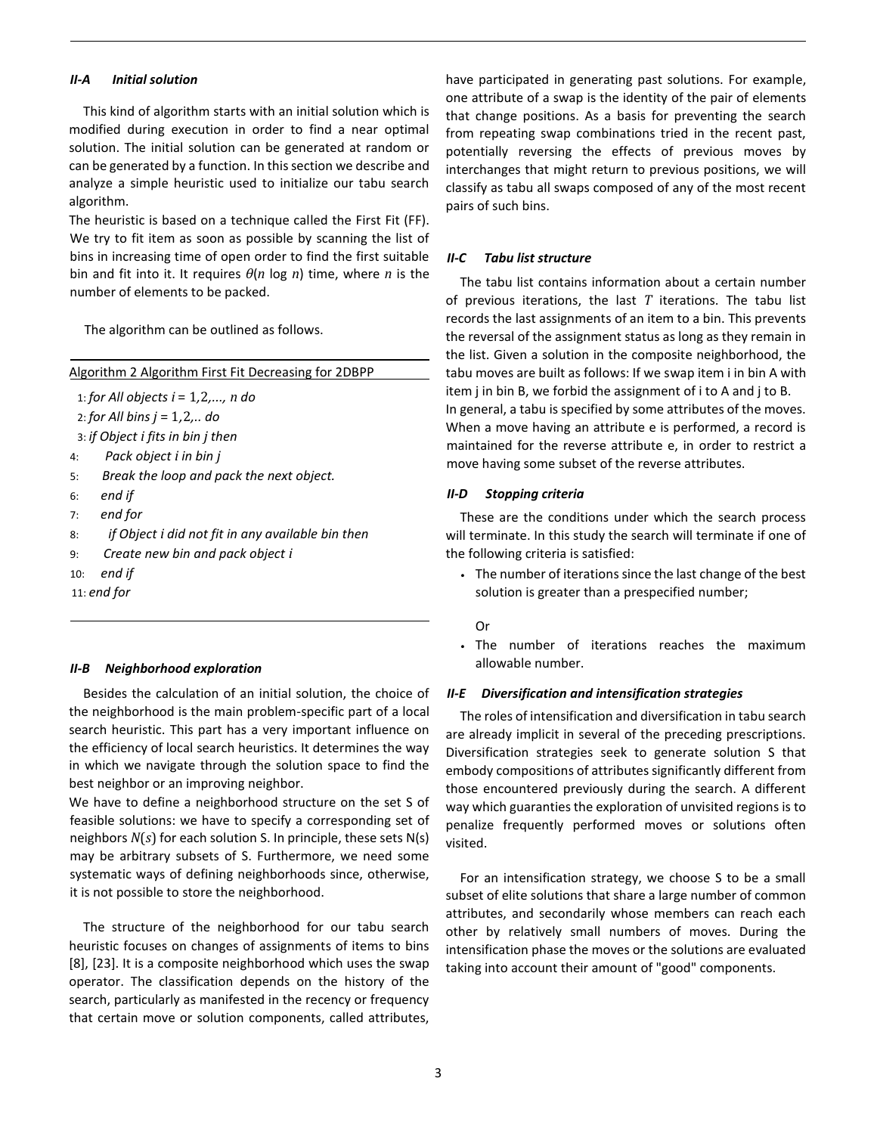## *II-A Initial solution*

This kind of algorithm starts with an initial solution which is modified during execution in order to find a near optimal solution. The initial solution can be generated at random or can be generated by a function. In this section we describe and analyze a simple heuristic used to initialize our tabu search algorithm.

The heuristic is based on a technique called the First Fit (FF). We try to fit item as soon as possible by scanning the list of bins in increasing time of open order to find the first suitable bin and fit into it. It requires *θ*(*n* log *n*) time, where *n* is the number of elements to be packed.

The algorithm can be outlined as follows.

Algorithm 2 Algorithm First Fit Decreasing for 2DBPP

1: *for All objects i* = 1*,*2*,..., n do*

2: *for All bins j* = 1*,*2*,.. do*

3: *if Object i fits in bin j then*

- 4: *Pack object i in bin j*
- 5: *Break the loop and pack the next object.*
- 6: *end if*
- 7: *end for*
- 8: *if Object i did not fit in any available bin then*
- 9: *Create new bin and pack object i*
- 10: *end if*

11: *end for*

## *II-B Neighborhood exploration*

Besides the calculation of an initial solution, the choice of the neighborhood is the main problem-specific part of a local search heuristic. This part has a very important influence on the efficiency of local search heuristics. It determines the way in which we navigate through the solution space to find the best neighbor or an improving neighbor.

We have to define a neighborhood structure on the set S of feasible solutions: we have to specify a corresponding set of neighbors *N*(*s*) for each solution S. In principle, these sets N(s) may be arbitrary subsets of S. Furthermore, we need some systematic ways of defining neighborhoods since, otherwise, it is not possible to store the neighborhood.

The structure of the neighborhood for our tabu search heuristic focuses on changes of assignments of items to bins [8], [23]. It is a composite neighborhood which uses the swap operator. The classification depends on the history of the search, particularly as manifested in the recency or frequency that certain move or solution components, called attributes,

have participated in generating past solutions. For example, one attribute of a swap is the identity of the pair of elements that change positions. As a basis for preventing the search from repeating swap combinations tried in the recent past, potentially reversing the effects of previous moves by interchanges that might return to previous positions, we will classify as tabu all swaps composed of any of the most recent pairs of such bins.

## *II-C Tabu list structure*

The tabu list contains information about a certain number of previous iterations, the last *T* iterations. The tabu list records the last assignments of an item to a bin. This prevents the reversal of the assignment status as long as they remain in the list. Given a solution in the composite neighborhood, the tabu moves are built as follows: If we swap item i in bin A with item j in bin B, we forbid the assignment of i to A and j to B. In general, a tabu is specified by some attributes of the moves. When a move having an attribute e is performed, a record is maintained for the reverse attribute e, in order to restrict a move having some subset of the reverse attributes.

## *II-D Stopping criteria*

These are the conditions under which the search process will terminate. In this study the search will terminate if one of the following criteria is satisfied:

• The number of iterations since the last change of the best solution is greater than a prespecified number;

Or

• The number of iterations reaches the maximum allowable number.

#### *II-E Diversification and intensification strategies*

The roles of intensification and diversification in tabu search are already implicit in several of the preceding prescriptions. Diversification strategies seek to generate solution S that embody compositions of attributes significantly different from those encountered previously during the search. A different way which guaranties the exploration of unvisited regions is to penalize frequently performed moves or solutions often visited.

For an intensification strategy, we choose S to be a small subset of elite solutions that share a large number of common attributes, and secondarily whose members can reach each other by relatively small numbers of moves. During the intensification phase the moves or the solutions are evaluated taking into account their amount of "good" components.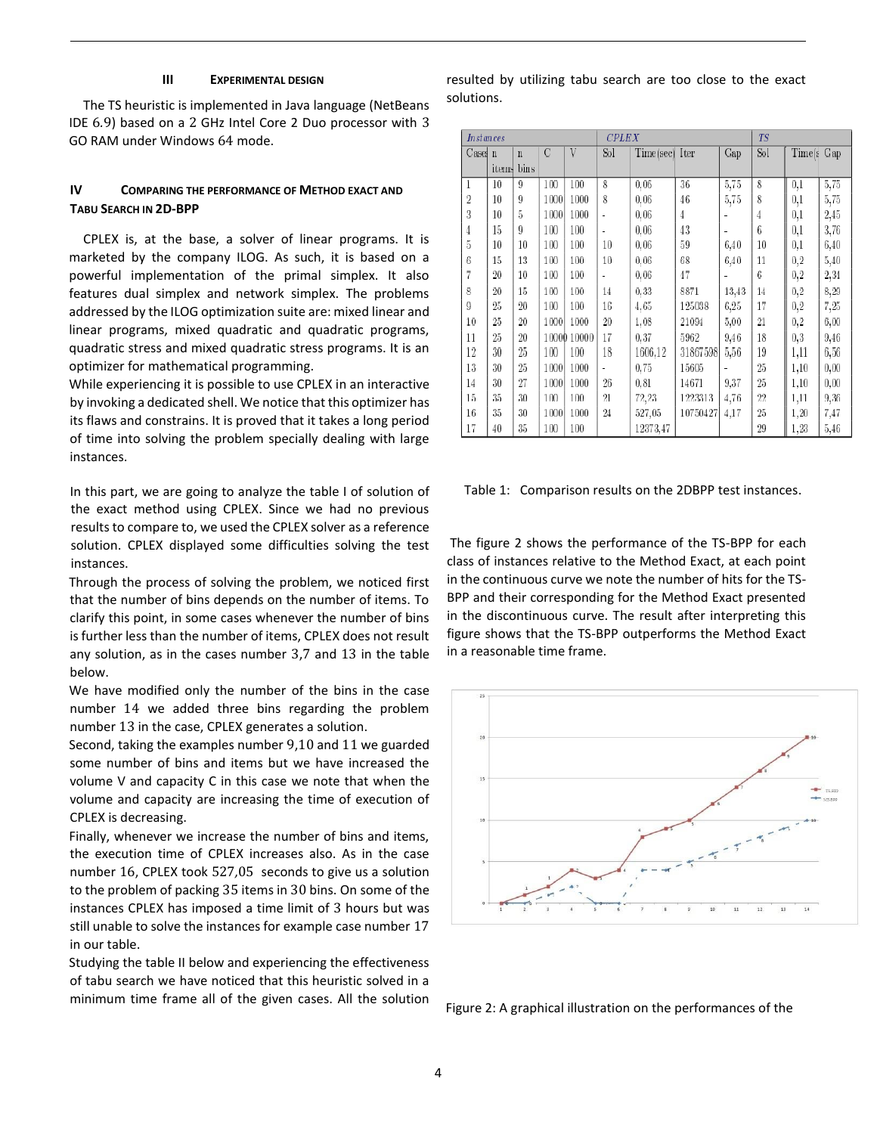## **III EXPERIMENTAL DESIGN**

The TS heuristic is implemented in Java language (NetBeans IDE 6*.*9) based on a 2 GHz Intel Core 2 Duo processor with 3 GO RAM under Windows 64 mode.

# **IV COMPARING THE PERFORMANCE OF METHOD EXACT AND TABU SEARCH IN 2D-BPP**

CPLEX is, at the base, a solver of linear programs. It is marketed by the company ILOG. As such, it is based on a powerful implementation of the primal simplex. It also features dual simplex and network simplex. The problems addressed by the ILOG optimization suite are: mixed linear and linear programs, mixed quadratic and quadratic programs, quadratic stress and mixed quadratic stress programs. It is an optimizer for mathematical programming.

While experiencing it is possible to use CPLEX in an interactive by invoking a dedicated shell. We notice that this optimizer has its flaws and constrains. It is proved that it takes a long period of time into solving the problem specially dealing with large instances.

In this part, we are going to analyze the table I of solution of the exact method using CPLEX. Since we had no previous results to compare to, we used the CPLEX solver as a reference solution. CPLEX displayed some difficulties solving the test instances.

Through the process of solving the problem, we noticed first that the number of bins depends on the number of items. To clarify this point, in some cases whenever the number of bins is further less than the number of items, CPLEX does not result any solution, as in the cases number 3,7 and 13 in the table below.

We have modified only the number of the bins in the case number 14 we added three bins regarding the problem number 13 in the case, CPLEX generates a solution.

Second, taking the examples number 9,10 and 11 we guarded some number of bins and items but we have increased the volume V and capacity C in this case we note that when the volume and capacity are increasing the time of execution of CPLEX is decreasing.

Finally, whenever we increase the number of bins and items, the execution time of CPLEX increases also. As in the case number 16, CPLEX took 527*,*05 seconds to give us a solution to the problem of packing 35 items in 30 bins. On some of the instances CPLEX has imposed a time limit of 3 hours but was still unable to solve the instances for example case number 17 in our table.

Studying the table II below and experiencing the effectiveness of tabu search we have noticed that this heuristic solved in a minimum time frame all of the given cases. All the solution resulted by utilizing tabu search are too close to the exact solutions.

| <i>Instances</i> |        |             |      |             | <b>CPLEX</b> |                |          |       | <b>TS</b>      |            |      |
|------------------|--------|-------------|------|-------------|--------------|----------------|----------|-------|----------------|------------|------|
| Cases n          |        | $\mathbf n$ | C    | V           | Sol          | Time(sec) Iter |          | Gap   | S <sub>0</sub> | Time(s Cap |      |
|                  | items  | bins        |      |             |              |                |          |       |                |            |      |
| 1                | 10     | 9           | 100  | 100         | 8            | 0,06           | 36       | 5,75  | 8              | 0,1        | 5,75 |
| $\overline{2}$   | 10     | 9           | 1000 | 1000        | 8            | 0,06           | 46       | 5,75  | 8              | $_{0,1}$   | 5,75 |
| 3                | 10     | 5           | 1000 | 1000        | ä,           | 0,06           | 4        |       | 4              | $_{0,1}$   | 2,45 |
| 4                | 15     | 9           | 100  | 100         |              | 0,06           | 43       |       | 6              | $_{0,1}$   | 3,76 |
| 5                | 10     | 10          | 100  | 100         | 10           | 0,06           | 59       | 6,40  | 10             | $_{0,1}$   | 6,40 |
| 6                | 15     | 13          | 100  | 100         | 10           | 0.06           | 68       | 6,40  | 11             | $_{0,2}$   | 5,40 |
| 7                | $20\,$ | 10          | 100  | 100         |              | 0,06           | 47       |       | 6              | 0,2        | 2,34 |
| 8                | 20     | $15\,$      | 100  | 100         | 14           | 0, 33          | 8871     | 13,43 | 14             | $_{0,2}$   | 8,29 |
| 9                | 25     | $20\,$      | 100  | 100         | 16           | 4,65           | 125038   | 6,25  | 17             | $_{0,2}$   | 7,25 |
| 10               | 25     | 20          | 1000 | 1000        | 20           | 1,08           | 21094    | 5,00  | 21             | $_{0,2}$   | 6,00 |
| 11               | 25     | 20          |      | 10000 10000 | 17           | 0,37           | 5962     | 9,46  | 18             | 0,3        | 9,46 |
| 12               | 30     | 25          | 100  | 100         | 18           | 1606,12        | 31867598 | 5,56  | 19             | 1,11       | 6,56 |
| 13               | 30     | 25          | 1000 | 1000        |              | 0,75           | 15605    |       | 25             | 1,10       | 0,00 |
| 14               | 30     | 27          | 1000 | 1000        | 26           | 0, 81          | 14671    | 9.37  | 25             | 1,10       | 0.00 |
| 15               | 35     | 30          | 100  | 100         | 21           | 72,23          | 1223313  | 4,76  | 22             | 1,11       | 9,36 |
| 16               | 35     | 30          | 1000 | 1000        | 24           | 527,05         | 10750427 | 4,17  | 25             | 1,20       | 7,47 |
| 17               | 40     | 35          | 100  | 100         |              | 12373,47       |          |       | 29             | 1,23       | 5,46 |

Table 1: Comparison results on the 2DBPP test instances.

The figure 2 shows the performance of the TS-BPP for each class of instances relative to the Method Exact, at each point in the continuous curve we note the number of hits for the TS-BPP and their corresponding for the Method Exact presented in the discontinuous curve. The result after interpreting this figure shows that the TS-BPP outperforms the Method Exact in a reasonable time frame.



Figure 2: A graphical illustration on the performances of the